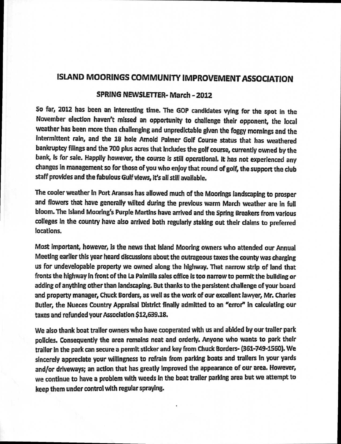## **ISLAND MOORINGS COMMUNITY IMPROVEMENT ASSOCIATION**

## **SPRING NEWSLETTER- March - 2012**

**So far, 2012 has been an interesting time. The GOP candidates vying for the spot in the November election haven't missed an opportunity to challenge their opponent, the local weather has been more than challenging and unpredictable given the foggy mornings and the intermittent rain, and the 18 hole Arnold Palmer Golf Course status that has weathered bankruptcy filings and the 700 plus acres that includes the golf course, currently owned by the bank, is for sale. Happily however, the course is still operational. It has not experienced any changes in management so for those of you who enjoy that round of golf, the support the club staff provides and the fabulous Gulf views, it's all still available.** 

**The cooler weather in Port Aransas has allowed much of the Moorings landscaping to prosper and flowers that have generally wilted during the previous warm March weather are in full bloom. The island Mooring's Purple Martins have arrived and the Spring Breakers from various colleges in the country have also arrived both regularly staking out their claims to preferred locations.** 

**Most important, however, is the news that island Mooring owners who attended our Annual Meeting earlier this year heard discussions about the outrageous taxes the county was charging us for undevelopable property we owned along the highway. That narrow strip of land that fronts the highway in front of the La Paimilla sales office is too narrow to permit the building or adding of anything other than landscaping. But thanks to the persistent challenge of your board and property manager, Chuck Borders, as well as the work of our excellent lawyer, Mr. Charles Butler, the Nueces Country Appraisal District finally admitted to an "error" in calculating our taxes and refunded your Association \$12,639.18.** 

**We also thank boat trailer owners who have cooperated with us and abided by our trailer park policies. Consequently the area remains neat and orderly. Anyone who wants to park their trailer in the park can secure a permit sticker and key from Chuck Borders- (361-749-1560). We sincerely appreciate your willingness to refrain from parking boats and trailers in your yards and/or driveways; an action that has greatly improved the appearance of our area. However, we continue to have a problem with weeds in the boat trailer parking area but we attempt to keep them under control with regular spraying.**